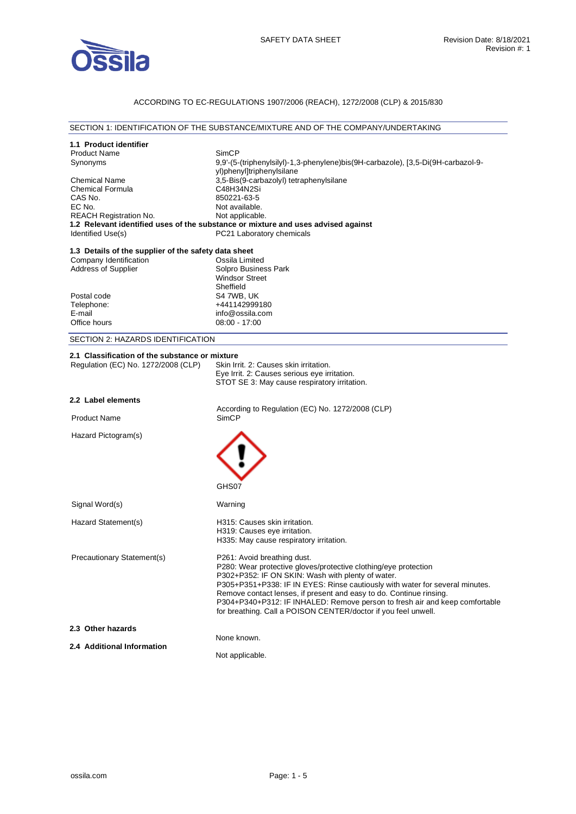

## ACCORDING TO EC-REGULATIONS 1907/2006 (REACH), 1272/2008 (CLP) & 2015/830

### SECTION 1: IDENTIFICATION OF THE SUBSTANCE/MIXTURE AND OF THE COMPANY/UNDERTAKING

| 1.1 Product identifier                               |                                                                                                      |
|------------------------------------------------------|------------------------------------------------------------------------------------------------------|
| <b>Product Name</b>                                  | SimCP                                                                                                |
| Synonyms                                             | 9,9'-(5-(triphenylsilyl)-1,3-phenylene)bis(9H-carbazole), [3,5-Di(9H-carbazol-9-                     |
|                                                      | yl)phenyl]triphenylsilane                                                                            |
| <b>Chemical Name</b>                                 | 3,5-Bis(9-carbazolyl) tetraphenylsilane                                                              |
| <b>Chemical Formula</b>                              | C48H34N2Si                                                                                           |
| CAS No.                                              | 850221-63-5                                                                                          |
| EC No.                                               | Not available.                                                                                       |
| <b>REACH Registration No.</b>                        | Not applicable.<br>1.2 Relevant identified uses of the substance or mixture and uses advised against |
| Identified Use(s)                                    | PC21 Laboratory chemicals                                                                            |
|                                                      |                                                                                                      |
| 1.3 Details of the supplier of the safety data sheet |                                                                                                      |
| Company Identification                               | Ossila Limited                                                                                       |
| <b>Address of Supplier</b>                           | Solpro Business Park                                                                                 |
|                                                      | <b>Windsor Street</b>                                                                                |
|                                                      | Sheffield                                                                                            |
| Postal code                                          | S4 7WB, UK                                                                                           |
| Telephone:                                           | +441142999180                                                                                        |
| E-mail                                               | info@ossila.com                                                                                      |
| Office hours                                         | $08:00 - 17:00$                                                                                      |
| SECTION 2: HAZARDS IDENTIFICATION                    |                                                                                                      |
| 2.1 Classification of the substance or mixture       |                                                                                                      |
| Regulation (EC) No. 1272/2008 (CLP)                  | Skin Irrit, 2: Causes skin irritation.                                                               |
|                                                      | Eye Irrit. 2: Causes serious eye irritation.                                                         |
|                                                      | STOT SE 3: May cause respiratory irritation.                                                         |
|                                                      |                                                                                                      |
| 2.2 Label elements                                   |                                                                                                      |
|                                                      | According to Regulation (EC) No. 1272/2008 (CLP)                                                     |
| <b>Product Name</b>                                  | <b>SimCP</b>                                                                                         |
| Hazard Pictogram(s)                                  |                                                                                                      |
|                                                      |                                                                                                      |
|                                                      |                                                                                                      |
|                                                      |                                                                                                      |
|                                                      |                                                                                                      |
|                                                      |                                                                                                      |
|                                                      | GHS07                                                                                                |
| Signal Word(s)                                       | Warning                                                                                              |
|                                                      |                                                                                                      |
| Hazard Statement(s)                                  | H315: Causes skin irritation.                                                                        |
|                                                      | H319: Causes eye irritation.                                                                         |
|                                                      | H335: May cause respiratory irritation.                                                              |
|                                                      |                                                                                                      |
| <b>Precautionary Statement(s)</b>                    | P261: Avoid breathing dust.<br>P280: Wear protective gloves/protective clothing/eye protection       |
|                                                      | P302+P352: IF ON SKIN: Wash with plenty of water.                                                    |
|                                                      | P305+P351+P338: IF IN EYES: Rinse cautiously with water for several minutes.                         |
|                                                      | Remove contact lenses, if present and easy to do. Continue rinsing.                                  |
|                                                      | P304+P340+P312: IF INHALED: Remove person to fresh air and keep comfortable                          |
|                                                      | for breathing. Call a POISON CENTER/doctor if you feel unwell.                                       |
|                                                      |                                                                                                      |
| 2.3 Other hazards                                    |                                                                                                      |
| 2.4 Additional Information                           | None known.                                                                                          |
|                                                      | Not applicable.                                                                                      |
|                                                      |                                                                                                      |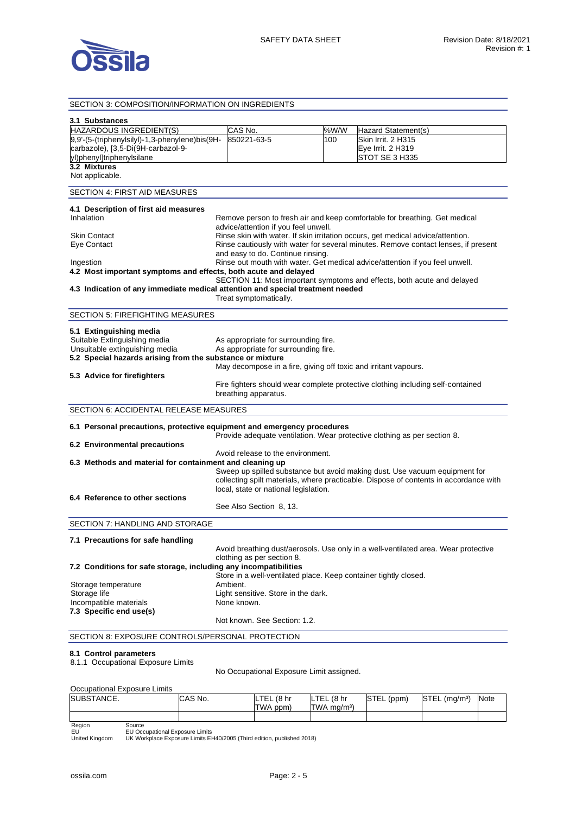

### SECTION 3: COMPOSITION/INFORMATION ON INGREDIENTS

| 3.1 Substances                                                                 |                                                                  |      |                                                                                       |
|--------------------------------------------------------------------------------|------------------------------------------------------------------|------|---------------------------------------------------------------------------------------|
| HAZARDOUS INGREDIENT(S)                                                        | CAS No.                                                          | %W/W | Hazard Statement(s)                                                                   |
| 9,9'-(5-(triphenylsilyl)-1,3-phenylene)bis(9H-                                 | 850221-63-5                                                      | 100  | Skin Irrit. 2 H315                                                                    |
| carbazole), [3,5-Di(9H-carbazol-9-                                             |                                                                  |      | Eye Irrit. 2 H319                                                                     |
| yl)phenyl]triphenylsilane                                                      |                                                                  |      | STOT SE 3 H335                                                                        |
| 3.2 Mixtures                                                                   |                                                                  |      |                                                                                       |
| Not applicable.                                                                |                                                                  |      |                                                                                       |
| SECTION 4: FIRST AID MEASURES                                                  |                                                                  |      |                                                                                       |
| 4.1 Description of first aid measures                                          |                                                                  |      |                                                                                       |
| Inhalation                                                                     |                                                                  |      | Remove person to fresh air and keep comfortable for breathing. Get medical            |
|                                                                                | advice/attention if you feel unwell.                             |      |                                                                                       |
| Skin Contact                                                                   |                                                                  |      | Rinse skin with water. If skin irritation occurs, get medical advice/attention.       |
| Eye Contact                                                                    |                                                                  |      | Rinse cautiously with water for several minutes. Remove contact lenses, if present    |
|                                                                                | and easy to do. Continue rinsing.                                |      |                                                                                       |
| Ingestion                                                                      |                                                                  |      | Rinse out mouth with water. Get medical advice/attention if you feel unwell.          |
| 4.2 Most important symptoms and effects, both acute and delayed                |                                                                  |      |                                                                                       |
| 4.3 Indication of any immediate medical attention and special treatment needed |                                                                  |      | SECTION 11: Most important symptoms and effects, both acute and delayed               |
|                                                                                | Treat symptomatically.                                           |      |                                                                                       |
|                                                                                |                                                                  |      |                                                                                       |
| <b>SECTION 5: FIREFIGHTING MEASURES</b>                                        |                                                                  |      |                                                                                       |
| 5.1 Extinguishing media                                                        |                                                                  |      |                                                                                       |
| Suitable Extinguishing media                                                   | As appropriate for surrounding fire.                             |      |                                                                                       |
| Unsuitable extinguishing media                                                 | As appropriate for surrounding fire.                             |      |                                                                                       |
| 5.2 Special hazards arising from the substance or mixture                      |                                                                  |      |                                                                                       |
|                                                                                | May decompose in a fire, giving off toxic and irritant vapours.  |      |                                                                                       |
| 5.3 Advice for firefighters                                                    |                                                                  |      |                                                                                       |
|                                                                                |                                                                  |      | Fire fighters should wear complete protective clothing including self-contained       |
|                                                                                | breathing apparatus.                                             |      |                                                                                       |
| SECTION 6: ACCIDENTAL RELEASE MEASURES                                         |                                                                  |      |                                                                                       |
| 6.1 Personal precautions, protective equipment and emergency procedures        |                                                                  |      |                                                                                       |
|                                                                                |                                                                  |      | Provide adequate ventilation. Wear protective clothing as per section 8.              |
| 6.2 Environmental precautions                                                  |                                                                  |      |                                                                                       |
|                                                                                | Avoid release to the environment.                                |      |                                                                                       |
| 6.3 Methods and material for containment and cleaning up                       |                                                                  |      |                                                                                       |
|                                                                                |                                                                  |      | Sweep up spilled substance but avoid making dust. Use vacuum equipment for            |
|                                                                                |                                                                  |      | collecting spilt materials, where practicable. Dispose of contents in accordance with |
|                                                                                | local, state or national legislation.                            |      |                                                                                       |
| 6.4 Reference to other sections                                                | See Also Section 8, 13.                                          |      |                                                                                       |
|                                                                                |                                                                  |      |                                                                                       |
| SECTION 7: HANDLING AND STORAGE                                                |                                                                  |      |                                                                                       |
| 7.1 Precautions for safe handling                                              |                                                                  |      |                                                                                       |
|                                                                                |                                                                  |      | Avoid breathing dust/aerosols. Use only in a well-ventilated area. Wear protective    |
|                                                                                | clothing as per section 8.                                       |      |                                                                                       |
| 7.2 Conditions for safe storage, including any incompatibilities               |                                                                  |      |                                                                                       |
|                                                                                | Store in a well-ventilated place. Keep container tightly closed. |      |                                                                                       |
| Storage temperature                                                            | Ambient.                                                         |      |                                                                                       |
| Storage life                                                                   | Light sensitive. Store in the dark.                              |      |                                                                                       |
| Incompatible materials                                                         | None known.                                                      |      |                                                                                       |
| 7.3 Specific end use(s)                                                        | Not known. See Section: 1.2.                                     |      |                                                                                       |
|                                                                                |                                                                  |      |                                                                                       |
| SECTION 8: EXPOSURE CONTROLS/PERSONAL PROTECTION                               |                                                                  |      |                                                                                       |
| 8.1 Control parameters<br>8.1.1 Occupational Exposure Limits                   |                                                                  |      |                                                                                       |

No Occupational Exposure Limit assigned.

#### Occupational Exposure Limits SUBSTANCE. CAS No. LTEL (8 hr TWA ppm) LTEL (8 hr TWA  $mg/m^3$ ) STEL (ppm) STEL (mg/m<sup>3</sup>) Note Region EU United Kingdom Source EU Occupational Exposure Limits UK Workplace Exposure Limits EH40/2005 (Third edition, published 2018)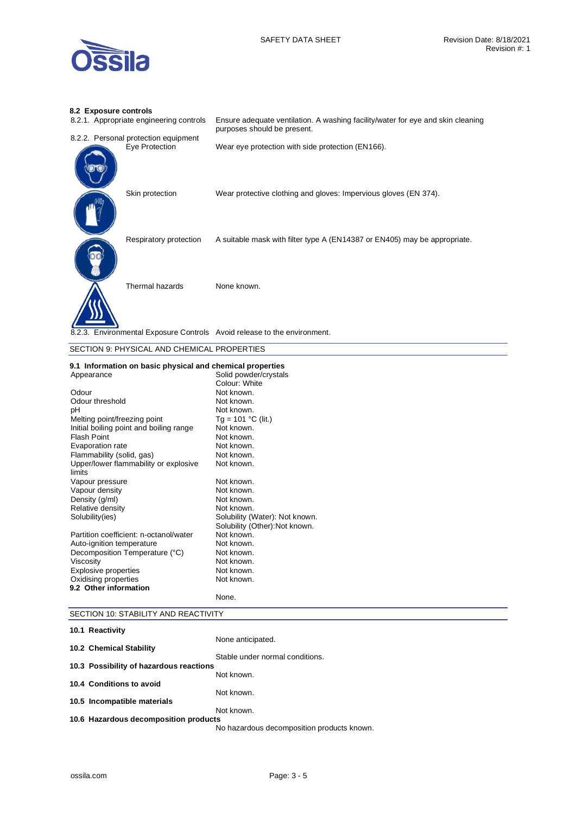

# **8.2 Exposure controls**

| 8.2.1. Appropriate engineering controls                                  | Ensure adequate ventilation. A washing facility/water for eye and skin cleaning<br>purposes should be present. |
|--------------------------------------------------------------------------|----------------------------------------------------------------------------------------------------------------|
| 8.2.2. Personal protection equipment                                     |                                                                                                                |
| Eye Protection                                                           | Wear eye protection with side protection (EN166).                                                              |
| Skin protection                                                          | Wear protective clothing and gloves: Impervious gloves (EN 374).                                               |
| Respiratory protection                                                   | A suitable mask with filter type A (EN14387 or EN405) may be appropriate.                                      |
| Thermal hazards                                                          | None known.                                                                                                    |
| 8.2.3. Environmental Exposure Controls Avoid release to the environment. |                                                                                                                |

### SECTION 9: PHYSICAL AND CHEMICAL PROPERTIES

### **9.1 Information on basic physical and chemical properties**

| Appearance                              | Solid powder/crystals          |
|-----------------------------------------|--------------------------------|
|                                         | Colour: White                  |
| Odour                                   | Not known.                     |
| Odour threshold                         | Not known.                     |
| рH                                      | Not known.                     |
| Melting point/freezing point            | Tg = 101 °C (lit.)             |
| Initial boiling point and boiling range | Not known.                     |
| <b>Flash Point</b>                      | Not known.                     |
| Evaporation rate                        | Not known.                     |
| Flammability (solid, gas)               | Not known.                     |
| Upper/lower flammability or explosive   | Not known.                     |
| limits                                  |                                |
| Vapour pressure                         | Not known.                     |
| Vapour density                          | Not known.                     |
| Density (g/ml)                          | Not known.                     |
| Relative density                        | Not known.                     |
| Solubility (ies)                        | Solubility (Water): Not known. |
|                                         | Solubility (Other): Not known. |
| Partition coefficient: n-octanol/water  | Not known.                     |
| Auto-ignition temperature               | Not known.                     |
| Decomposition Temperature (°C)          | Not known.                     |
| Viscosity                               | Not known.                     |
| <b>Explosive properties</b>             | Not known.                     |
| Oxidising properties                    | Not known.                     |
| 9.2 Other information                   |                                |
|                                         | None.                          |

## SECTION 10: STABILITY AND REACTIVITY

| None anticipated.                                                                                                                                                                         |
|-------------------------------------------------------------------------------------------------------------------------------------------------------------------------------------------|
|                                                                                                                                                                                           |
| Stable under normal conditions.                                                                                                                                                           |
|                                                                                                                                                                                           |
| Not known.                                                                                                                                                                                |
|                                                                                                                                                                                           |
| Not known.                                                                                                                                                                                |
|                                                                                                                                                                                           |
| Not known.                                                                                                                                                                                |
|                                                                                                                                                                                           |
| No hazardous decomposition products known.                                                                                                                                                |
| 10.1 Reactivity<br>10.2 Chemical Stability<br>10.3 Possibility of hazardous reactions<br>10.4 Conditions to avoid<br>10.5 Incompatible materials<br>10.6 Hazardous decomposition products |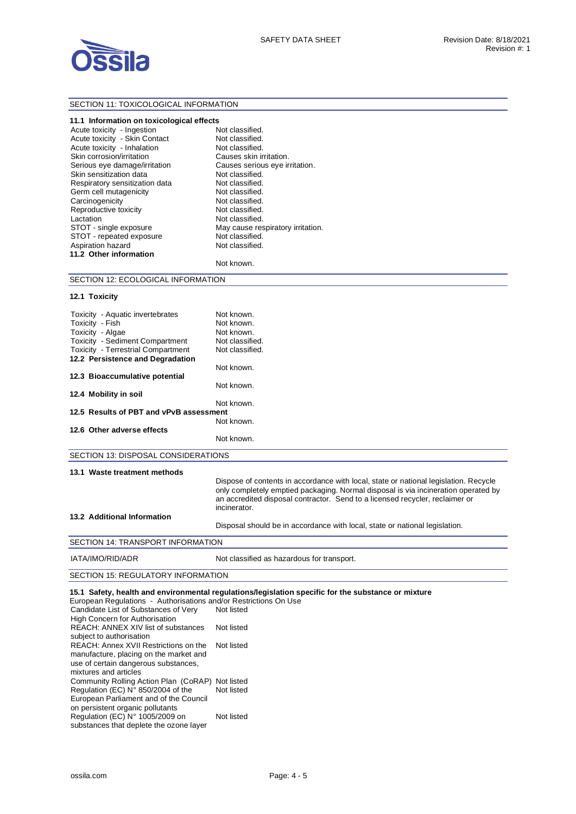

### SECTION 11: TOXICOLOGICAL INFORMATION

#### **11.1 Information on toxicological effects**

| Acute toxicity - Ingestion     | Not classified.                   |
|--------------------------------|-----------------------------------|
| Acute toxicity - Skin Contact  | Not classified.                   |
| Acute toxicity - Inhalation    | Not classified.                   |
| Skin corrosion/irritation      | Causes skin irritation.           |
| Serious eye damage/irritation  | Causes serious eye irritation.    |
| Skin sensitization data        | Not classified.                   |
| Respiratory sensitization data | Not classified.                   |
| Germ cell mutagenicity         | Not classified.                   |
| Carcinogenicity                | Not classified.                   |
| Reproductive toxicity          | Not classified.                   |
| Lactation                      | Not classified.                   |
| STOT - single exposure         | May cause respiratory irritation. |
| STOT - repeated exposure       | Not classified.                   |
| Aspiration hazard              | Not classified.                   |
| 11.2 Other information         |                                   |
|                                |                                   |

| Not classified.                   |
|-----------------------------------|
| Not classified.                   |
| Not classified.                   |
| Causes skin irritation.           |
| Causes serious eye irritation.    |
| Not classified.                   |
| Not classified.                   |
| Not classified.                   |
| Not classified.                   |
| Not classified.                   |
| Not classified.                   |
| May cause respiratory irritation. |
| Not classified.                   |
| Not classified.                   |
|                                   |

#### Not known.

### SECTION 12: ECOLOGICAL INFORMATION

| 12.1 Toxicity |
|---------------|
|               |
|               |

| Toxicity - Aquatic invertebrates<br>Toxicity - Fish | Not known.<br>Not known. |  |
|-----------------------------------------------------|--------------------------|--|
| Toxicity - Algae                                    | Not known.               |  |
| <b>Toxicity - Sediment Compartment</b>              | Not classified.          |  |
| <b>Toxicity - Terrestrial Compartment</b>           | Not classified.          |  |
| 12.2 Persistence and Degradation                    |                          |  |
|                                                     | Not known.               |  |
| 12.3 Bioaccumulative potential                      |                          |  |
|                                                     | Not known.               |  |
| 12.4 Mobility in soil                               |                          |  |
|                                                     | Not known.               |  |
| 12.5 Results of PBT and vPvB assessment             |                          |  |
|                                                     | Not known.               |  |
| 12.6 Other adverse effects                          |                          |  |
|                                                     | Not known.               |  |
|                                                     |                          |  |

SECTION 13: DISPOSAL CONSIDERATIONS

#### **13.1 Waste treatment methods**

Dispose of contents in accordance with local, state or national legislation. Recycle only completely emptied packaging. Normal disposal is via incineration operated by an accredited disposal contractor. Send to a licensed recycler, reclaimer or incinerator.

#### **13.2 Additional Information**

Disposal should be in accordance with local, state or national legislation.

### SECTION 14: TRANSPORT INFORMATION

IATA/IMO/RID/ADR Not classified as hazardous for transport.

### SECTION 15: REGULATORY INFORMATION

**15.1 Safety, health and environmental regulations/legislation specific for the substance or mixture**  European Regulations - Authorisations and/or Restrictions On Use

| Not listed                                       |
|--------------------------------------------------|
|                                                  |
| Not listed                                       |
|                                                  |
| Not listed                                       |
|                                                  |
|                                                  |
|                                                  |
| Community Rolling Action Plan (CoRAP) Not listed |
| Not listed                                       |
|                                                  |
|                                                  |
| Not listed                                       |
|                                                  |
|                                                  |